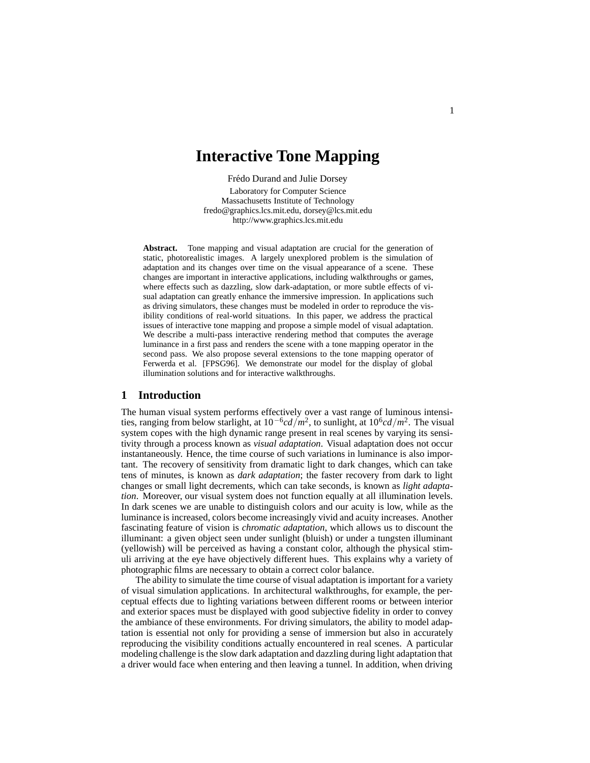# **Interactive Tone Mapping**

Frédo Durand and Julie Dorsey Laboratory for Computer Science Massachusetts Institute of Technology fredo@graphics.lcs.mit.edu, dorsey@lcs.mit.edu http://www.graphics.lcs.mit.edu

Abstract. Tone mapping and visual adaptation are crucial for the generation of static, photorealistic images. A largely unexplored problem is the simulation of adaptation and its changes over time on the visual appearance of a scene. These changes are important in interactive applications, including walkthroughs or games, where effects such as dazzling, slow dark-adaptation, or more subtle effects of visual adaptation can greatly enhance the immersive impression. In applications such as driving simulators, these changes must be modeled in order to reproduce the visibility conditions of real-world situations. In this paper, we address the practical issues of interactive tone mapping and propose a simple model of visual adaptation. We describe a multi-pass interactive rendering method that computes the average luminance in a first pass and renders the scene with a tone mapping operator in the second pass. We also propose several extensions to the tone mapping operator of Ferwerda et al. [FPSG96]. We demonstrate our model for the display of global illumination solutions and for interactive walkthroughs.

## **1 Introduction**

The human visual system performs effectively over a vast range of luminous intensities, ranging from below starlight, at 10−6*cd/m*2, to sunlight, at 106*cd/m*2. The visual system copes with the high dynamic range present in real scenes by varying its sensitivity through a process known as *visual adaptation*. Visual adaptation does not occur instantaneously. Hence, the time course of such variations in luminance is also important. The recovery of sensitivity from dramatic light to dark changes, which can take tens of minutes, is known as *dark adaptation*; the faster recovery from dark to light changes or small light decrements, which can take seconds, is known as *light adaptation*. Moreover, our visual system does not function equally at all illumination levels. In dark scenes we are unable to distinguish colors and our acuity is low, while as the luminance is increased, colors become increasingly vivid and acuity increases. Another fascinating feature of vision is *chromatic adaptation*, which allows us to discount the illuminant: a given object seen under sunlight (bluish) or under a tungsten illuminant (yellowish) will be perceived as having a constant color, although the physical stimuli arriving at the eye have objectively different hues. This explains why a variety of photographic films are necessary to obtain a correct color balance.

The ability to simulate the time course of visual adaptation is important for a variety of visual simulation applications. In architectural walkthroughs, for example, the perceptual effects due to lighting variations between different rooms or between interior and exterior spaces must be displayed with good subjective fidelity in order to convey the ambiance of these environments. For driving simulators, the ability to model adaptation is essential not only for providing a sense of immersion but also in accurately reproducing the visibility conditions actually encountered in real scenes. A particular modeling challenge is the slow dark adaptation and dazzling during light adaptation that a driver would face when entering and then leaving a tunnel. In addition, when driving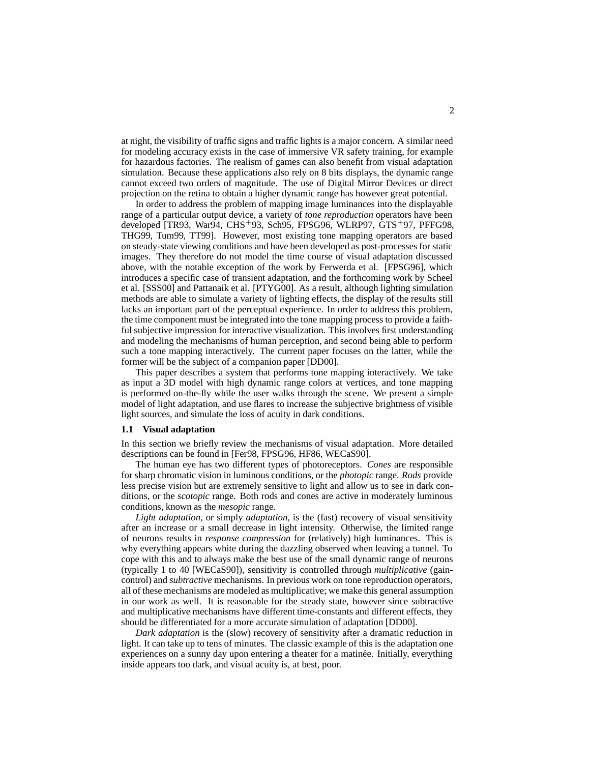at night, the visibility of traffic signs and traffic lights is a major concern. A similar need for modeling accuracy exists in the case of immersive VR safety training, for example for hazardous factories. The realism of games can also benefit from visual adaptation simulation. Because these applications also rely on 8 bits displays, the dynamic range cannot exceed two orders of magnitude. The use of Digital Mirror Devices or direct projection on the retina to obtain a higher dynamic range has however great potential.

In order to address the problem of mapping image luminances into the displayable range of a particular output device, a variety of *tone reproduction* operators have been developed [TR93, War94, CHS+93, Sch95, FPSG96, WLRP97, GTS+97, PFFG98, THG99, Tum99, TT99]. However, most existing tone mapping operators are based on steady-state viewing conditions and have been developed as post-processes for static images. They therefore do not model the time course of visual adaptation discussed above, with the notable exception of the work by Ferwerda et al. [FPSG96], which introduces a specific case of transient adaptation, and the forthcoming work by Scheel et al. [SSS00] and Pattanaik et al. [PTYG00]. As a result, although lighting simulation methods are able to simulate a variety of lighting effects, the display of the results still lacks an important part of the perceptual experience. In order to address this problem, the time component must be integrated into the tone mapping process to provide a faithful subjective impression for interactive visualization. This involves first understanding and modeling the mechanisms of human perception, and second being able to perform such a tone mapping interactively. The current paper focuses on the latter, while the former will be the subject of a companion paper [DD00].

This paper describes a system that performs tone mapping interactively. We take as input a 3D model with high dynamic range colors at vertices, and tone mapping is performed on-the-fly while the user walks through the scene. We present a simple model of light adaptation, and use flares to increase the subjective brightness of visible light sources, and simulate the loss of acuity in dark conditions.

### **1.1 Visual adaptation**

In this section we briefly review the mechanisms of visual adaptation. More detailed descriptions can be found in [Fer98, FPSG96, HF86, WECaS90].

The human eye has two different types of photoreceptors. *Cones* are responsible for sharp chromatic vision in luminous conditions, or the *photopic* range. *Rods* provide less precise vision but are extremely sensitive to light and allow us to see in dark conditions, or the *scotopic* range. Both rods and cones are active in moderately luminous conditions, known as the *mesopic* range.

*Light adaptation*, or simply *adaptation*, is the (fast) recovery of visual sensitivity after an increase or a small decrease in light intensity. Otherwise, the limited range of neurons results in *response compression* for (relatively) high luminances. This is why everything appears white during the dazzling observed when leaving a tunnel. To cope with this and to always make the best use of the small dynamic range of neurons (typically 1 to 40 [WECaS90]), sensitivity is controlled through *multiplicative* (gaincontrol) and *subtractive* mechanisms. In previous work on tone reproduction operators, all of these mechanisms are modeled as multiplicative; we make this general assumption in our work as well. It is reasonable for the steady state, however since subtractive and multiplicative mechanisms have different time-constants and different effects, they should be differentiated for a more accurate simulation of adaptation [DD00].

*Dark adaptation* is the (slow) recovery of sensitivity after a dramatic reduction in light. It can take up to tens of minutes. The classic example of this is the adaptation one experiences on a sunny day upon entering a theater for a matinée. Initially, everything inside appears too dark, and visual acuity is, at best, poor.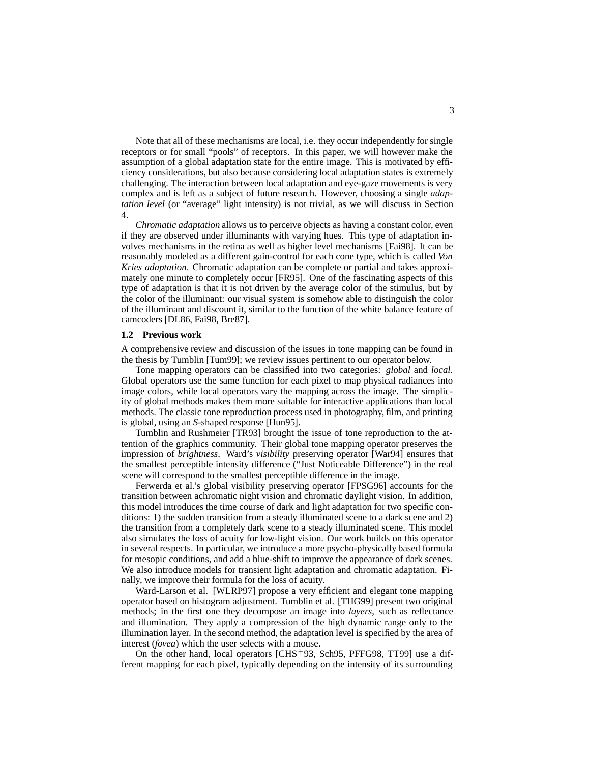Note that all of these mechanisms are local, i.e. they occur independently for single receptors or for small "pools" of receptors. In this paper, we will however make the assumption of a global adaptation state for the entire image. This is motivated by efficiency considerations, but also because considering local adaptation states is extremely challenging. The interaction between local adaptation and eye-gaze movements is very complex and is left as a subject of future research. However, choosing a single *adaptation level* (or "average" light intensity) is not trivial, as we will discuss in Section 4.

*Chromatic adaptation* allows us to perceive objects as having a constant color, even if they are observed under illuminants with varying hues. This type of adaptation involves mechanisms in the retina as well as higher level mechanisms [Fai98]. It can be reasonably modeled as a different gain-control for each cone type, which is called *Von Kries adaptation*. Chromatic adaptation can be complete or partial and takes approximately one minute to completely occur [FR95]. One of the fascinating aspects of this type of adaptation is that it is not driven by the average color of the stimulus, but by the color of the illuminant: our visual system is somehow able to distinguish the color of the illuminant and discount it, similar to the function of the white balance feature of camcoders [DL86, Fai98, Bre87].

### **1.2 Previous work**

A comprehensive review and discussion of the issues in tone mapping can be found in the thesis by Tumblin [Tum99]; we review issues pertinent to our operator below.

Tone mapping operators can be classified into two categories: *global* and *local*. Global operators use the same function for each pixel to map physical radiances into image colors, while local operators vary the mapping across the image. The simplicity of global methods makes them more suitable for interactive applications than local methods. The classic tone reproduction process used in photography, film, and printing is global, using an *S*-shaped response [Hun95].

Tumblin and Rushmeier [TR93] brought the issue of tone reproduction to the attention of the graphics community. Their global tone mapping operator preserves the impression of *brightness*. Ward's *visibility* preserving operator [War94] ensures that the smallest perceptible intensity difference ("Just Noticeable Difference") in the real scene will correspond to the smallest perceptible difference in the image.

Ferwerda et al.'s global visibility preserving operator [FPSG96] accounts for the transition between achromatic night vision and chromatic daylight vision. In addition, this model introduces the time course of dark and light adaptation for two specific conditions: 1) the sudden transition from a steady illuminated scene to a dark scene and 2) the transition from a completely dark scene to a steady illuminated scene. This model also simulates the loss of acuity for low-light vision. Our work builds on this operator in several respects. In particular, we introduce a more psycho-physically based formula for mesopic conditions, and add a blue-shift to improve the appearance of dark scenes. We also introduce models for transient light adaptation and chromatic adaptation. Finally, we improve their formula for the loss of acuity.

Ward-Larson et al. [WLRP97] propose a very efficient and elegant tone mapping operator based on histogram adjustment. Tumblin et al. [THG99] present two original methods; in the first one they decompose an image into *layers*, such as reflectance and illumination. They apply a compression of the high dynamic range only to the illumination layer. In the second method, the adaptation level is specified by the area of interest (*fovea*) which the user selects with a mouse.

On the other hand, local operators  $[CHS+93, Sch95, PFFG98, TT99]$  use a different mapping for each pixel, typically depending on the intensity of its surrounding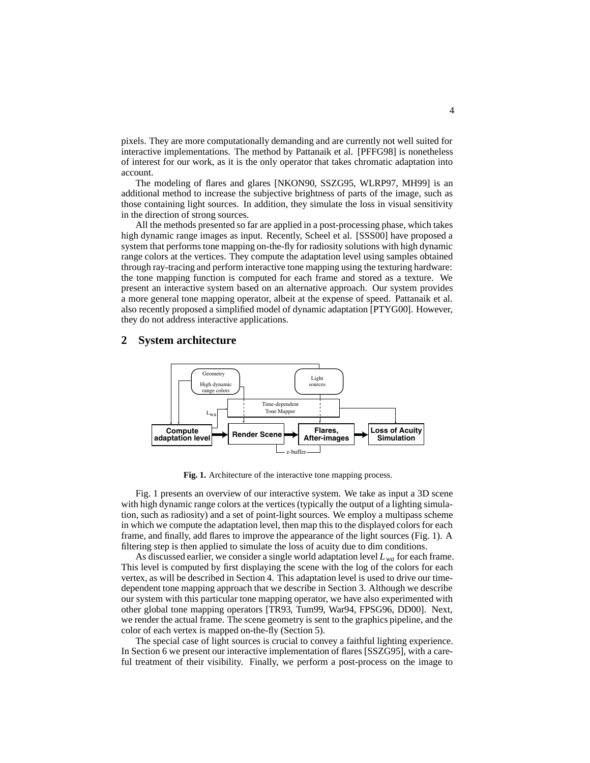pixels. They are more computationally demanding and are currently not well suited for interactive implementations. The method by Pattanaik et al. [PFFG98] is nonetheless of interest for our work, as it is the only operator that takes chromatic adaptation into account.

The modeling of flares and glares [NKON90, SSZG95, WLRP97, MH99] is an additional method to increase the subjective brightness of parts of the image, such as those containing light sources. In addition, they simulate the loss in visual sensitivity in the direction of strong sources.

All the methods presented so far are applied in a post-processing phase, which takes high dynamic range images as input. Recently, Scheel et al. [SSS00] have proposed a system that performs tone mapping on-the-fly for radiosity solutions with high dynamic range colors at the vertices. They compute the adaptation level using samples obtained through ray-tracing and perform interactive tone mapping using the texturing hardware: the tone mapping function is computed for each frame and stored as a texture. We present an interactive system based on an alternative approach. Our system provides a more general tone mapping operator, albeit at the expense of speed. Pattanaik et al. also recently proposed a simplified model of dynamic adaptation [PTYG00]. However, they do not address interactive applications.

## **2 System architecture**



**Fig. 1.** Architecture of the interactive tone mapping process.

Fig. 1 presents an overview of our interactive system. We take as input a 3D scene with high dynamic range colors at the vertices (typically the output of a lighting simulation, such as radiosity) and a set of point-light sources. We employ a multipass scheme in which we compute the adaptation level, then map this to the displayed colors for each frame, and finally, add flares to improve the appearance of the light sources (Fig. 1). A filtering step is then applied to simulate the loss of acuity due to dim conditions.

As discussed earlier, we consider a single world adaptation level  $L_{wa}$  for each frame. This level is computed by first displaying the scene with the log of the colors for each vertex, as will be described in Section 4. This adaptation level is used to drive our timedependent tone mapping approach that we describe in Section 3. Although we describe our system with this particular tone mapping operator, we have also experimented with other global tone mapping operators [TR93, Tum99, War94, FPSG96, DD00]. Next, we render the actual frame. The scene geometry is sent to the graphics pipeline, and the color of each vertex is mapped on-the-fly (Section 5).

The special case of light sources is crucial to convey a faithful lighting experience. In Section 6 we present our interactive implementation of flares [SSZG95], with a careful treatment of their visibility. Finally, we perform a post-process on the image to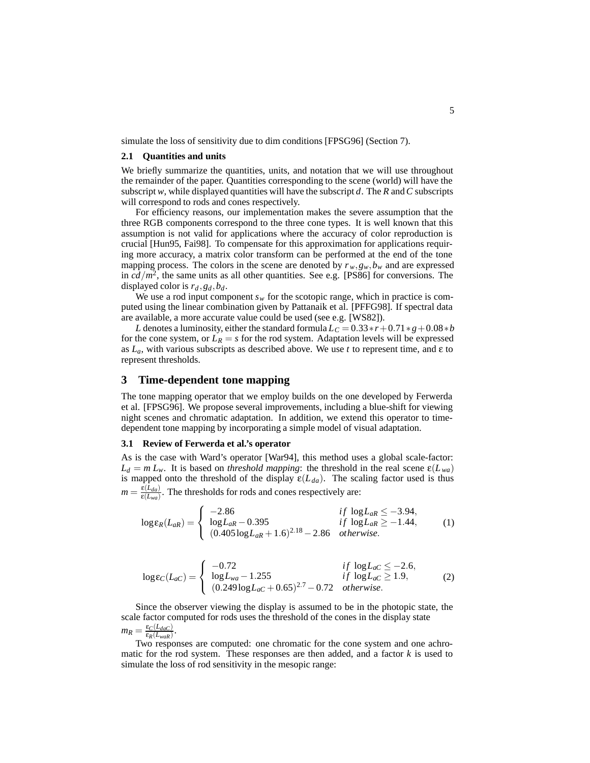simulate the loss of sensitivity due to dim conditions [FPSG96] (Section 7).

#### **2.1 Quantities and units**

We briefly summarize the quantities, units, and notation that we will use throughout the remainder of the paper. Quantities corresponding to the scene (world) will have the subscript *w*, while displayed quantities will have the subscript *d*. The *R* and*C* subscripts will correspond to rods and cones respectively.

For efficiency reasons, our implementation makes the severe assumption that the three RGB components correspond to the three cone types. It is well known that this assumption is not valid for applications where the accuracy of color reproduction is crucial [Hun95, Fai98]. To compensate for this approximation for applications requiring more accuracy, a matrix color transform can be performed at the end of the tone mapping process. The colors in the scene are denoted by  $r_w, g_w, b_w$  and are expressed in  $cd/m^2$ , the same units as all other quantities. See e.g. [PS86] for conversions. The displayed color is  $r_d$ ,  $g_d$ ,  $b_d$ .

We use a rod input component  $s_w$  for the scotopic range, which in practice is computed using the linear combination given by Pattanaik et al. [PFFG98]. If spectral data are available, a more accurate value could be used (see e.g. [WS82]).

*L* denotes a luminosity, either the standard formula  $L_C = 0.33 * r + 0.71 * g + 0.08 * b$ for the cone system, or  $L_R = s$  for the rod system. Adaptation levels will be expressed as  $L_a$ , with various subscripts as described above. We use *t* to represent time, and  $\varepsilon$  to represent thresholds.

### **3 Time-dependent tone mapping**

The tone mapping operator that we employ builds on the one developed by Ferwerda et al. [FPSG96]. We propose several improvements, including a blue-shift for viewing night scenes and chromatic adaptation. In addition, we extend this operator to timedependent tone mapping by incorporating a simple model of visual adaptation.

### **3.1 Review of Ferwerda et al.'s operator**

As is the case with Ward's operator [War94], this method uses a global scale-factor:  $L_d = m L_w$ . It is based on *threshold mapping*: the threshold in the real scene  $\epsilon(L_{wa})$ is mapped onto the threshold of the display  $\varepsilon(L_{da})$ . The scaling factor used is thus  $m = \frac{\varepsilon(L_{da})}{\varepsilon(L_{wa})}$ . The thresholds for rods and cones respectively are:

$$
\log \epsilon_R(L_{aR}) = \begin{cases}\n-2.86 & if \log L_{aR} \le -3.94, \\
\log L_{aR} - 0.395 & if \log L_{aR} \ge -1.44, \\
(0.405 \log L_{aR} + 1.6)^{2.18} - 2.86 & otherwise.\n\end{cases}
$$
\n(1)

$$
\log \varepsilon_C(L_{aC}) = \begin{cases}\n-0.72 & if \log L_{aC} \le -2.6, \\
\log L_{wa} - 1.255 & if \log L_{aC} \ge 1.9, \\
(0.249 \log L_{aC} + 0.65)^{2.7} - 0.72 & otherwise.\n\end{cases}
$$
\n(2)

Since the observer viewing the display is assumed to be in the photopic state, the scale factor computed for rods uses the threshold of the cones in the display state  $m_R = \frac{\epsilon_C(L_{dac})}{\epsilon_R(L_{waR})}.$ 

Two responses are computed: one chromatic for the cone system and one achromatic for the rod system. These responses are then added, and a factor *k* is used to simulate the loss of rod sensitivity in the mesopic range: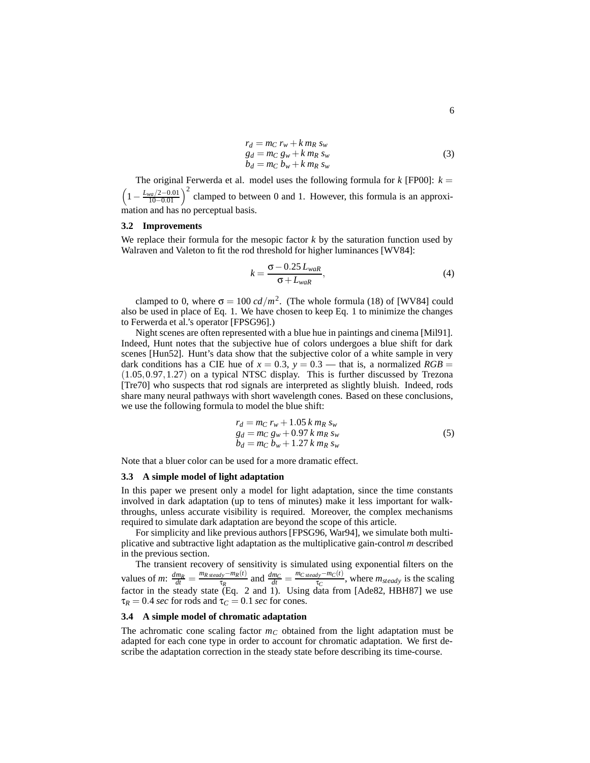$$
r_d = m_C r_w + k m_R s_w
$$
  
\n
$$
g_d = m_C g_w + k m_R s_w
$$
  
\n
$$
b_d = m_C b_w + k m_R s_w
$$
\n(3)

The original Ferwerda et al. model uses the following formula for  $k$  [FP00]:  $k =$  $\left(1 - \frac{L_{wa}/2 - 0.01}{10 - 0.01}\right)^2$  clamped to between 0 and 1. However, this formula is an approximation and has no perceptual basis.

#### **3.2 Improvements**

We replace their formula for the mesopic factor  $k$  by the saturation function used by Walraven and Valeton to fit the rod threshold for higher luminances [WV84]:

$$
k = \frac{\sigma - 0.25 L_{waR}}{\sigma + L_{waR}},\tag{4}
$$

clamped to 0, where  $\sigma = 100 \text{ cd/m}^2$ . (The whole formula (18) of [WV84] could also be used in place of Eq. 1. We have chosen to keep Eq. 1 to minimize the changes to Ferwerda et al.'s operator [FPSG96].)

Night scenes are often represented with a blue hue in paintings and cinema [Mil91]. Indeed, Hunt notes that the subjective hue of colors undergoes a blue shift for dark scenes [Hun52]. Hunt's data show that the subjective color of a white sample in very dark conditions has a CIE hue of  $x = 0.3$ ,  $y = 0.3$  — that is, a normalized  $RGB =$ (1*.*05*,*0*.*97*,*1*.*27) on a typical NTSC display. This is further discussed by Trezona [Tre70] who suspects that rod signals are interpreted as slightly bluish. Indeed, rods share many neural pathways with short wavelength cones. Based on these conclusions, we use the following formula to model the blue shift:

$$
r_d = m_C r_w + 1.05 k m_R s_w
$$
  
\n
$$
g_d = m_C g_w + 0.97 k m_R s_w
$$
  
\n
$$
b_d = m_C b_w + 1.27 k m_R s_w
$$
\n(5)

Note that a bluer color can be used for a more dramatic effect.

### **3.3 A simple model of light adaptation**

In this paper we present only a model for light adaptation, since the time constants involved in dark adaptation (up to tens of minutes) make it less important for walkthroughs, unless accurate visibility is required. Moreover, the complex mechanisms required to simulate dark adaptation are beyond the scope of this article.

For simplicity and like previous authors [FPSG96, War94], we simulate both multiplicative and subtractive light adaptation as the multiplicative gain-control *m* described in the previous section.

The transient recovery of sensitivity is simulated using exponential filters on the values of *m*:  $\frac{dm_R}{dt} = \frac{m_{R \text{ steady}} - m_R(t)}{\tau_R}$  and  $\frac{dm_C}{dt} = \frac{m_{C \text{ steady}} - m_C(t)}{\tau_C}$ , where  $m_{\text{steady}}$  is the scaling factor in the steady state (Eq. 2 and 1). Using data from [Ade82, HBH87] we use  $\tau_R = 0.4$  *sec* for rods and  $\tau_C = 0.1$  *sec* for cones.

### **3.4 A simple model of chromatic adaptation**

The achromatic cone scaling factor  $m<sub>C</sub>$  obtained from the light adaptation must be adapted for each cone type in order to account for chromatic adaptation. We first describe the adaptation correction in the steady state before describing its time-course.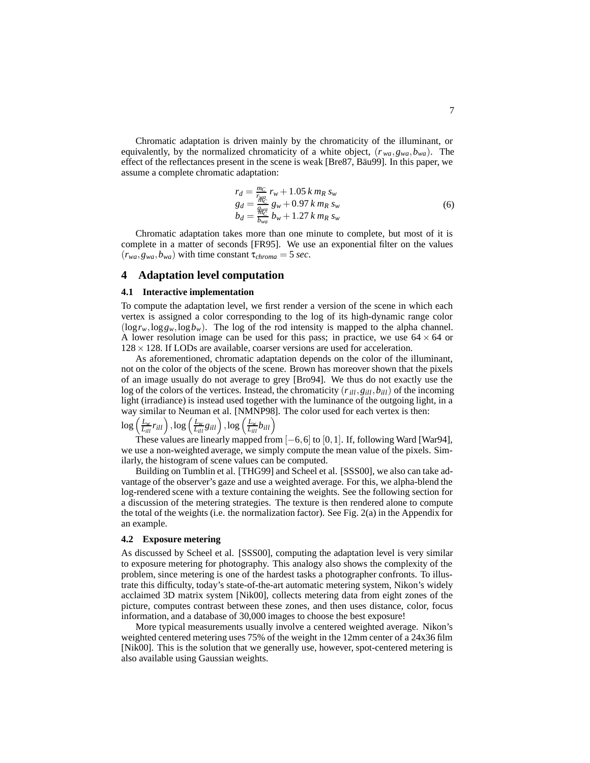Chromatic adaptation is driven mainly by the chromaticity of the illuminant, or equivalently, by the normalized chromaticity of a white object,  $(r_{wa}, g_{wa}, b_{wa})$ . The effect of the reflectances present in the scene is weak [Bre87, Bäu99]. In this paper, we assume a complete chromatic adaptation:

$$
r_d = \frac{m_C}{r_{wa}} r_w + 1.05 \, k \, m_R \, s_w \ng_d = \frac{g_{w_G}}{g_{w_G}} g_w + 0.97 \, k \, m_R \, s_w \nb_d = \frac{g_{w_G}}{b_{wa}} b_w + 1.27 \, k \, m_R \, s_w
$$
\n(6)

Chromatic adaptation takes more than one minute to complete, but most of it is complete in a matter of seconds [FR95]. We use an exponential filter on the values  $(r_{wa}, g_{wa}, b_{wa})$  with time constant  $\tau_{chroma} = 5$  *sec.* 

## **4 Adaptation level computation**

### **4.1 Interactive implementation**

To compute the adaptation level, we first render a version of the scene in which each vertex is assigned a color corresponding to the log of its high-dynamic range color  $(\log r_w, \log g_w, \log b_w)$ . The log of the rod intensity is mapped to the alpha channel. A lower resolution image can be used for this pass; in practice, we use  $64 \times 64$  or  $128 \times 128$ . If LODs are available, coarser versions are used for acceleration.

As aforementioned, chromatic adaptation depends on the color of the illuminant, not on the color of the objects of the scene. Brown has moreover shown that the pixels of an image usually do not average to grey [Bro94]. We thus do not exactly use the log of the colors of the vertices. Instead, the chromaticity  $(r_{ill}, g_{ill}, b_{ill})$  of the incoming light (irradiance) is instead used together with the luminance of the outgoing light, in a way similar to Neuman et al. [NMNP98]. The color used for each vertex is then:

# $\log\left(\frac{L_w}{L_{ill}} r_{ill}\right), \log\left(\frac{L_w}{L_{ill}} g_{ill}\right), \log\left(\frac{L_w}{L_{ill}} b_{ill}\right)$

These values are linearly mapped from [−6*,*6] to [0*,*1]. If, following Ward [War94], we use a non-weighted average, we simply compute the mean value of the pixels. Similarly, the histogram of scene values can be computed.

Building on Tumblin et al. [THG99] and Scheel et al. [SSS00], we also can take advantage of the observer's gaze and use a weighted average. For this, we alpha-blend the log-rendered scene with a texture containing the weights. See the following section for a discussion of the metering strategies. The texture is then rendered alone to compute the total of the weights (i.e. the normalization factor). See Fig. 2(a) in the Appendix for an example.

### **4.2 Exposure metering**

As discussed by Scheel et al. [SSS00], computing the adaptation level is very similar to exposure metering for photography. This analogy also shows the complexity of the problem, since metering is one of the hardest tasks a photographer confronts. To illustrate this difficulty, today's state-of-the-art automatic metering system, Nikon's widely acclaimed 3D matrix system [Nik00], collects metering data from eight zones of the picture, computes contrast between these zones, and then uses distance, color, focus information, and a database of 30,000 images to choose the best exposure!

More typical measurements usually involve a centered weighted average. Nikon's weighted centered metering uses 75% of the weight in the 12mm center of a 24x36 film [Nik00]. This is the solution that we generally use, however, spot-centered metering is also available using Gaussian weights.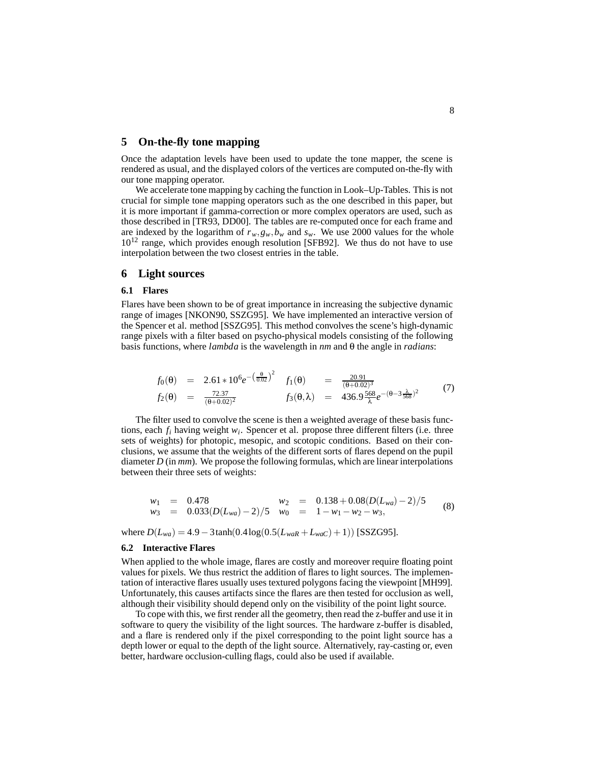## **5 On-the-fly tone mapping**

Once the adaptation levels have been used to update the tone mapper, the scene is rendered as usual, and the displayed colors of the vertices are computed on-the-fly with our tone mapping operator.

We accelerate tone mapping by caching the function in Look–Up-Tables. This is not crucial for simple tone mapping operators such as the one described in this paper, but it is more important if gamma-correction or more complex operators are used, such as those described in [TR93, DD00]. The tables are re-computed once for each frame and are indexed by the logarithm of  $r_w$ ,  $g_w$ ,  $b_w$  and  $s_w$ . We use 2000 values for the whole  $10^{12}$  range, which provides enough resolution [SFB92]. We thus do not have to use interpolation between the two closest entries in the table.

### **6 Light sources**

### **6.1 Flares**

Flares have been shown to be of great importance in increasing the subjective dynamic range of images [NKON90, SSZG95]. We have implemented an interactive version of the Spencer et al. method [SSZG95]. This method convolves the scene's high-dynamic range pixels with a filter based on psycho-physical models consisting of the following basis functions, where *lambda* is the wavelength in *nm* and θ the angle in *radians*:

$$
f_0(\theta) = 2.61 * 10^6 e^{-\left(\frac{\theta}{0.02}\right)^2} \quad f_1(\theta) = \frac{20.91}{(\theta + 0.02)^3}
$$
  
\n
$$
f_2(\theta) = \frac{72.37}{(\theta + 0.02)^2} \quad f_3(\theta, \lambda) = 436.9 \frac{568}{\lambda} e^{-(\theta - 3\frac{\lambda}{568})^2}
$$
(7)

The filter used to convolve the scene is then a weighted average of these basis functions, each *fi* having weight *wi*. Spencer et al. propose three different filters (i.e. three sets of weights) for photopic, mesopic, and scotopic conditions. Based on their conclusions, we assume that the weights of the different sorts of flares depend on the pupil diameter *D* (in *mm*). We propose the following formulas, which are linear interpolations between their three sets of weights:

$$
w_1 = 0.478
$$
  
\n $w_2 = 0.138 + 0.08(D(L_{wa}) - 2)/5$   
\n $w_3 = 0.033(D(L_{wa}) - 2)/5$   
\n $w_0 = 1 - w_1 - w_2 - w_3,$  (8)

where  $D(L_{wa}) = 4.9 - 3 \tanh(0.4 \log(0.5(L_{waR} + L_{waC}) + 1))$  [SSZG95].

### **6.2 Interactive Flares**

When applied to the whole image, flares are costly and moreover require floating point values for pixels. We thus restrict the addition of flares to light sources. The implementation of interactive flares usually uses textured polygons facing the viewpoint [MH99]. Unfortunately, this causes artifacts since the flares are then tested for occlusion as well, although their visibility should depend only on the visibility of the point light source.

To cope with this, we first render all the geometry, then read the z-buffer and use it in software to query the visibility of the light sources. The hardware z-buffer is disabled, and a flare is rendered only if the pixel corresponding to the point light source has a depth lower or equal to the depth of the light source. Alternatively, ray-casting or, even better, hardware occlusion-culling flags, could also be used if available.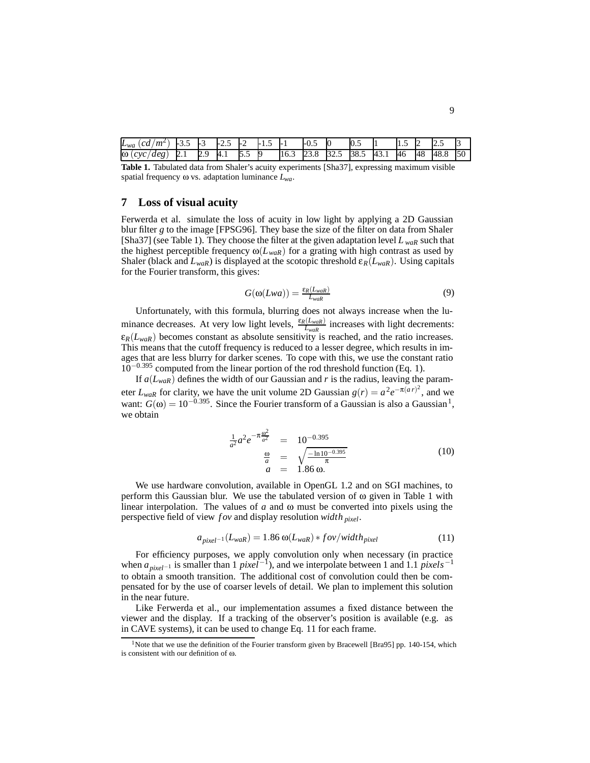| $L_{wa}$<br>$m^2$<br>cd | -<br>ن ر               | -<br>◡ | $ -$<br>ر… | −   | ر د |      | $\sim$<br>$-U.$ | IU.    | 0.5  |     | ر… | L  | ∽<br>ل ـ ـ ـ |    |
|-------------------------|------------------------|--------|------------|-----|-----|------|-----------------|--------|------|-----|----|----|--------------|----|
| ω<br>cvc<br>deg         | ⊷<br>$\mathcal{L}$ . 1 | ر دیگر | 4.1        | ◡.◡ |     | 10.J | ن ک             | ر. ے ر | 38.5 | 43. | 46 | 48 | 48.8         | 50 |

**Table 1.** Tabulated data from Shaler's acuity experiments [Sha37], expressing maximum visible spatial frequency ω vs. adaptation luminance *Lwa*.

### **7 Loss of visual acuity**

Ferwerda et al. simulate the loss of acuity in low light by applying a 2D Gaussian blur filter *g* to the image [FPSG96]. They base the size of the filter on data from Shaler [Sha37] (see Table 1). They choose the filter at the given adaptation level *L waR* such that the highest perceptible frequency  $\omega(L_{w a R})$  for a grating with high contrast as used by Shaler (black and  $L_{w a R}$ ) is displayed at the scotopic threshold  $\varepsilon_R(L_{w a R})$ . Using capitals for the Fourier transform, this gives:

$$
G(\omega(Lwa)) = \frac{\varepsilon_R(L_{waR})}{L_{waR}} \tag{9}
$$

Unfortunately, with this formula, blurring does not always increase when the luminance decreases. At very low light levels,  $\frac{\varepsilon_R(L_{w a R})}{L_{w a R}}$  increases with light decrements:  $\varepsilon_R(L_{\text{waR}})$  becomes constant as absolute sensitivity is reached, and the ratio increases. This means that the cutoff frequency is reduced to a lesser degree, which results in images that are less blurry for darker scenes. To cope with this, we use the constant ratio 10−0*.*<sup>395</sup> computed from the linear portion of the rod threshold function (Eq. 1).

If  $a(L_{\text{war}})$  defines the width of our Gaussian and *r* is the radius, leaving the parameter  $L_{w a R}$  for clarity, we have the unit volume 2D Gaussian  $g(r) = a^2 e^{-\pi (ar)^2}$ , and we want:  $G(\omega) = 10^{-0.395}$ . Since the Fourier transform of a Gaussian is also a Gaussian<sup>1</sup>, we obtain

$$
\frac{1}{a^2}a^2e^{-\pi\frac{\omega^2}{a^2}} = 10^{-0.395}
$$
\n
$$
\frac{\omega}{a} = \sqrt{\frac{-\ln 10^{-0.395}}{\pi}}
$$
\n(10)\n
$$
a = 1.86 \omega.
$$

We use hardware convolution, available in OpenGL 1.2 and on SGI machines, to perform this Gaussian blur. We use the tabulated version of  $\omega$  given in Table 1 with linear interpolation. The values of *a* and ω must be converted into pixels using the perspective field of view *f ov* and display resolution *width pixel*.

$$
a_{pixel^{-1}}(L_{waR}) = 1.86 \omega(L_{waR}) * fov/width_{pixel}
$$
\n(11)

For efficiency purposes, we apply convolution only when necessary (in practice when *apixel*−<sup>1</sup> is smaller than 1 *pixel*−1), and we interpolate between 1 and 1.1 *pixels*−<sup>1</sup> to obtain a smooth transition. The additional cost of convolution could then be compensated for by the use of coarser levels of detail. We plan to implement this solution in the near future.

Like Ferwerda et al., our implementation assumes a fixed distance between the viewer and the display. If a tracking of the observer's position is available (e.g. as in CAVE systems), it can be used to change Eq. 11 for each frame.

<sup>&</sup>lt;sup>1</sup>Note that we use the definition of the Fourier transform given by Bracewell [Bra95] pp. 140-154, which is consistent with our definition of ω.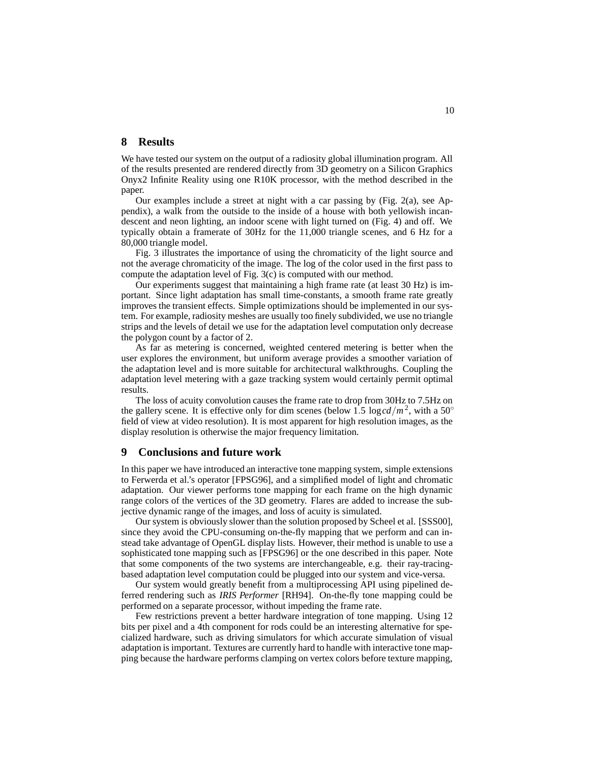## **8 Results**

We have tested our system on the output of a radiosity global illumination program. All of the results presented are rendered directly from 3D geometry on a Silicon Graphics Onyx2 Infinite Reality using one R10K processor, with the method described in the paper.

Our examples include a street at night with a car passing by (Fig. 2(a), see Appendix), a walk from the outside to the inside of a house with both yellowish incandescent and neon lighting, an indoor scene with light turned on (Fig. 4) and off. We typically obtain a framerate of 30Hz for the 11,000 triangle scenes, and 6 Hz for a 80,000 triangle model.

Fig. 3 illustrates the importance of using the chromaticity of the light source and not the average chromaticity of the image. The log of the color used in the first pass to compute the adaptation level of Fig. 3(c) is computed with our method.

Our experiments suggest that maintaining a high frame rate (at least 30 Hz) is important. Since light adaptation has small time-constants, a smooth frame rate greatly improves the transient effects. Simple optimizations should be implemented in our system. For example, radiosity meshes are usually too finely subdivided, we use no triangle strips and the levels of detail we use for the adaptation level computation only decrease the polygon count by a factor of 2.

As far as metering is concerned, weighted centered metering is better when the user explores the environment, but uniform average provides a smoother variation of the adaptation level and is more suitable for architectural walkthroughs. Coupling the adaptation level metering with a gaze tracking system would certainly permit optimal results.

The loss of acuity convolution causes the frame rate to drop from 30Hz to 7.5Hz on the gallery scene. It is effective only for dim scenes (below 1.5 log  $cd/m^2$ , with a 50<sup>°</sup> field of view at video resolution). It is most apparent for high resolution images, as the display resolution is otherwise the major frequency limitation.

## **9 Conclusions and future work**

In this paper we have introduced an interactive tone mapping system, simple extensions to Ferwerda et al.'s operator [FPSG96], and a simplified model of light and chromatic adaptation. Our viewer performs tone mapping for each frame on the high dynamic range colors of the vertices of the 3D geometry. Flares are added to increase the subjective dynamic range of the images, and loss of acuity is simulated.

Our system is obviously slower than the solution proposed by Scheel et al. [SSS00], since they avoid the CPU-consuming on-the-fly mapping that we perform and can instead take advantage of OpenGL display lists. However, their method is unable to use a sophisticated tone mapping such as [FPSG96] or the one described in this paper. Note that some components of the two systems are interchangeable, e.g. their ray-tracingbased adaptation level computation could be plugged into our system and vice-versa.

Our system would greatly benefit from a multiprocessing API using pipelined deferred rendering such as *IRIS Performer* [RH94]. On-the-fly tone mapping could be performed on a separate processor, without impeding the frame rate.

Few restrictions prevent a better hardware integration of tone mapping. Using 12 bits per pixel and a 4th component for rods could be an interesting alternative for specialized hardware, such as driving simulators for which accurate simulation of visual adaptation is important. Textures are currently hard to handle with interactive tone mapping because the hardware performs clamping on vertex colors before texture mapping,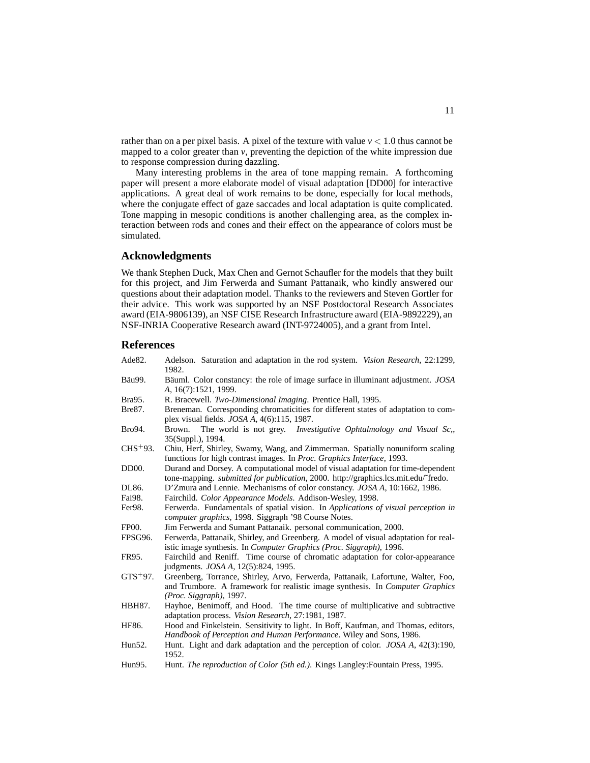rather than on a per pixel basis. A pixel of the texture with value  $v < 1.0$  thus cannot be mapped to a color greater than *v*, preventing the depiction of the white impression due to response compression during dazzling.

Many interesting problems in the area of tone mapping remain. A forthcoming paper will present a more elaborate model of visual adaptation [DD00] for interactive applications. A great deal of work remains to be done, especially for local methods, where the conjugate effect of gaze saccades and local adaptation is quite complicated. Tone mapping in mesopic conditions is another challenging area, as the complex interaction between rods and cones and their effect on the appearance of colors must be simulated.

## **Acknowledgments**

We thank Stephen Duck, Max Chen and Gernot Schaufler for the models that they built for this project, and Jim Ferwerda and Sumant Pattanaik, who kindly answered our questions about their adaptation model. Thanks to the reviewers and Steven Gortler for their advice. This work was supported by an NSF Postdoctoral Research Associates award (EIA-9806139), an NSF CISE Research Infrastructure award (EIA-9892229), an NSF-INRIA Cooperative Research award (INT-9724005), and a grant from Intel.

## **References**

| Adelson. Saturation and adaptation in the rod system. Vision Research, 22:1299,<br>1982.                                                                                                     |
|----------------------------------------------------------------------------------------------------------------------------------------------------------------------------------------------|
| Bäuml. Color constancy: the role of image surface in illuminant adjustment. JOSA<br>A, 16(7):1521, 1999.                                                                                     |
| R. Bracewell. Two-Dimensional Imaging. Prentice Hall, 1995.                                                                                                                                  |
| Breneman. Corresponding chromaticities for different states of adaptation to com-<br>plex visual fields. JOSA A, 4(6):115, 1987.                                                             |
| The world is not grey.<br>Investigative Ophtalmology and Visual Sc,,<br>Brown.<br>35(Suppl.), 1994.                                                                                          |
| Chiu, Herf, Shirley, Swamy, Wang, and Zimmerman. Spatially nonuniform scaling<br>functions for high contrast images. In <i>Proc. Graphics Interface</i> , 1993.                              |
| Durand and Dorsey. A computational model of visual adaptation for time-dependent<br>tone-mapping. submitted for publication, 2000. http://graphics.lcs.mit.edu/~fredo.                       |
| D'Zmura and Lennie. Mechanisms of color constancy. JOSA A, 10:1662, 1986.                                                                                                                    |
| Fairchild. Color Appearance Models. Addison-Wesley, 1998.                                                                                                                                    |
| Ferwerda. Fundamentals of spatial vision. In Applications of visual perception in<br>computer graphics, 1998. Siggraph '98 Course Notes.                                                     |
| Jim Ferwerda and Sumant Pattanaik. personal communication, 2000.                                                                                                                             |
| Ferwerda, Pattanaik, Shirley, and Greenberg. A model of visual adaptation for real-<br>istic image synthesis. In Computer Graphics (Proc. Siggraph), 1996.                                   |
| Fairchild and Reniff. Time course of chromatic adaptation for color-appearance<br>judgments. <i>JOSA A</i> , 12(5):824, 1995.                                                                |
| Greenberg, Torrance, Shirley, Arvo, Ferwerda, Pattanaik, Lafortune, Walter, Foo,<br>and Trumbore. A framework for realistic image synthesis. In Computer Graphics<br>(Proc. Siggraph), 1997. |
| Hayhoe, Benimoff, and Hood. The time course of multiplicative and subtractive<br>adaptation process. Vision Research, 27:1981, 1987.                                                         |
| Hood and Finkelstein. Sensitivity to light. In Boff, Kaufman, and Thomas, editors,<br>Handbook of Perception and Human Performance. Wiley and Sons, 1986.                                    |
| Hunt. Light and dark adaptation and the perception of color. JOSA A, 42(3):190,<br>1952.                                                                                                     |
| Hunt. The reproduction of Color (5th ed.). Kings Langley: Fountain Press, 1995.                                                                                                              |
|                                                                                                                                                                                              |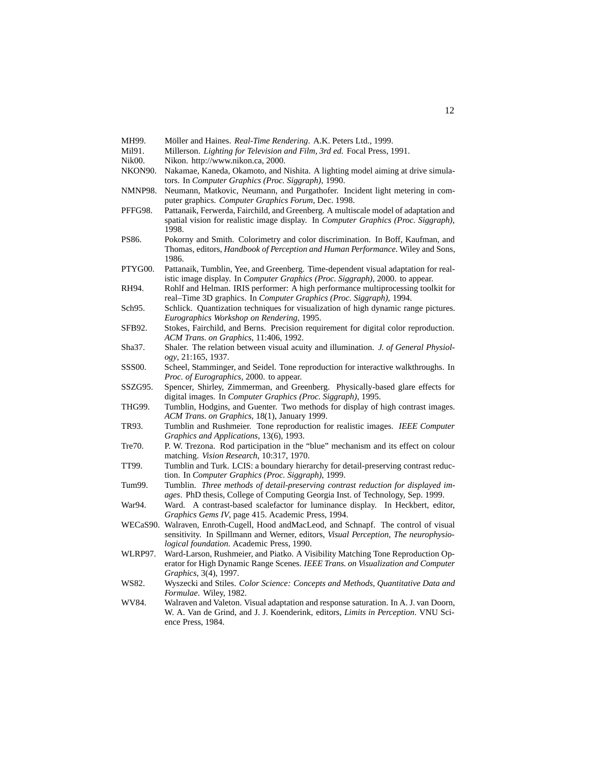- MH99. Möller and Haines. *Real-Time Rendering*. A.K. Peters Ltd., 1999.
- Mil91. Millerson. *Lighting for Television and Film, 3rd ed.* Focal Press, 1991. Nik00. Nikon. http://www.nikon.ca, 2000.
- NKON90. Nakamae, Kaneda, Okamoto, and Nishita. A lighting model aiming at drive simulators. In *Computer Graphics (Proc. Siggraph)*, 1990.
- NMNP98. Neumann, Matkovic, Neumann, and Purgathofer. Incident light metering in computer graphics. *Computer Graphics Forum*, Dec. 1998.
- PFFG98. Pattanaik, Ferwerda, Fairchild, and Greenberg. A multiscale model of adaptation and spatial vision for realistic image display. In *Computer Graphics (Proc. Siggraph)*, 1998.
- PS86. Pokorny and Smith. Colorimetry and color discrimination. In Boff, Kaufman, and Thomas, editors, *Handbook of Perception and Human Performance*. Wiley and Sons, 1986.
- PTYG00. Pattanaik, Tumblin, Yee, and Greenberg. Time-dependent visual adaptation for realistic image display. In *Computer Graphics (Proc. Siggraph)*, 2000. to appear.
- RH94. Rohlf and Helman. IRIS performer: A high performance multiprocessing toolkit for real–Time 3D graphics. In *Computer Graphics (Proc. Siggraph)*, 1994.
- Sch95. Schlick. Quantization techniques for visualization of high dynamic range pictures. *Eurographics Workshop on Rendering*, 1995.
- SFB92. Stokes, Fairchild, and Berns. Precision requirement for digital color reproduction. *ACM Trans. on Graphics*, 11:406, 1992.
- Sha37. Shaler. The relation between visual acuity and illumination. *J. of General Physiology*, 21:165, 1937.
- SSS00. Scheel, Stamminger, and Seidel. Tone reproduction for interactive walkthroughs. In *Proc. of Eurographics*, 2000. to appear.
- SSZG95. Spencer, Shirley, Zimmerman, and Greenberg. Physically-based glare effects for digital images. In *Computer Graphics (Proc. Siggraph)*, 1995.
- THG99. Tumblin, Hodgins, and Guenter. Two methods for display of high contrast images. *ACM Trans. on Graphics*, 18(1), January 1999.
- TR93. Tumblin and Rushmeier. Tone reproduction for realistic images. *IEEE Computer Graphics and Applications*, 13(6), 1993.
- Tre70. P. W. Trezona. Rod participation in the "blue" mechanism and its effect on colour matching. *Vision Research*, 10:317, 1970.
- TT99. Tumblin and Turk. LCIS: a boundary hierarchy for detail-preserving contrast reduction. In *Computer Graphics (Proc. Siggraph)*, 1999.
- Tum99. Tumblin. *Three methods of detail-preserving contrast reduction for displayed images*. PhD thesis, College of Computing Georgia Inst. of Technology, Sep. 1999.
- War94. Ward. A contrast-based scalefactor for luminance display. In Heckbert, editor, *Graphics Gems IV*, page 415. Academic Press, 1994.
- WECaS90. Walraven, Enroth-Cugell, Hood andMacLeod, and Schnapf. The control of visual sensitivity. In Spillmann and Werner, editors, *Visual Perception, The neurophysiological foundation*. Academic Press, 1990.
- WLRP97. Ward-Larson, Rushmeier, and Piatko. A Visibility Matching Tone Reproduction Operator for High Dynamic Range Scenes. *IEEE Trans. on Visualization and Computer Graphics*, 3(4), 1997.
- WS82. Wyszecki and Stiles. *Color Science: Concepts and Methods, Quantitative Data and Formulae*. Wiley, 1982.
- WV84. Walraven and Valeton. Visual adaptation and response saturation. In A. J. van Doorn, W. A. Van de Grind, and J. J. Koenderink, editors, *Limits in Perception*. VNU Science Press, 1984.